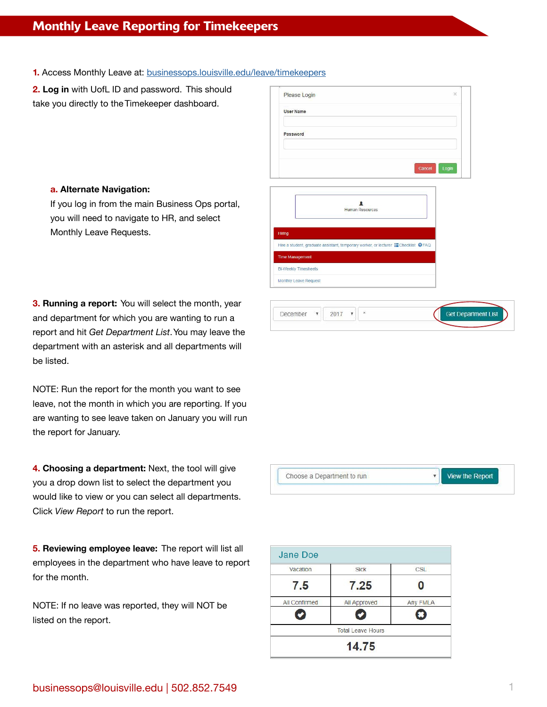## Monthly Leave Reporting for Timekeepers

**1.** Access Monthly Leave at: [businessops.louisville.edu/leave/timekeepers](https://businessops.louisville.edu/leave/timekeepers)

**2. Log in** with UofL ID and password. This should take you directly to the Timekeeper dashboard.

## **a. Alternate Navigation:**

If you log in from the main Business Ops portal, you will need to navigate to HR, and select Monthly Leave Requests.

**3. Running a report:** You will select the month, year and department for which you are wanting to run a report and hit *Get Department List*. You may leave the department with an asterisk and all departments will be listed.

NOTE: Run the report for the month you want to see leave, not the month in which you are reporting. If you are wanting to see leave taken on January you will run the report for January.

**4. Choosing a department:** Next, the tool will give you a drop down list to select the department you would like to view or you can select all departments. Click *View Report* to run the report.

**5. Reviewing employee leave:** The report will list all employees in the department who have leave to report for the month.

NOTE: If no leave was reported, they will NOT be listed on the report.

| Please Login                                                                                               |        | $\times$                |
|------------------------------------------------------------------------------------------------------------|--------|-------------------------|
| <b>User Name</b>                                                                                           |        |                         |
|                                                                                                            |        |                         |
| Password                                                                                                   |        |                         |
|                                                                                                            |        |                         |
|                                                                                                            | Cancel | Login                   |
|                                                                                                            |        |                         |
| ٠                                                                                                          |        |                         |
| <b>Human Resources</b>                                                                                     |        |                         |
|                                                                                                            |        |                         |
| <b>Hiring</b><br>Hire a student, graduate assistant, temporary worker, or lecturer <b>E</b> Checklist @FAQ |        |                         |
| <b>Time Management</b>                                                                                     |        |                         |
| <b>Bi-Weekly Timesheets</b>                                                                                |        |                         |
| Monthly Leave Request                                                                                      |        |                         |
|                                                                                                            |        |                         |
|                                                                                                            |        |                         |
| December<br>2017<br>$\tilde{\mathcal{R}}$<br>$\pmb{\mathrm{v}}$<br>$\overline{\mathbf{v}}$                 |        | <b>Get Department I</b> |